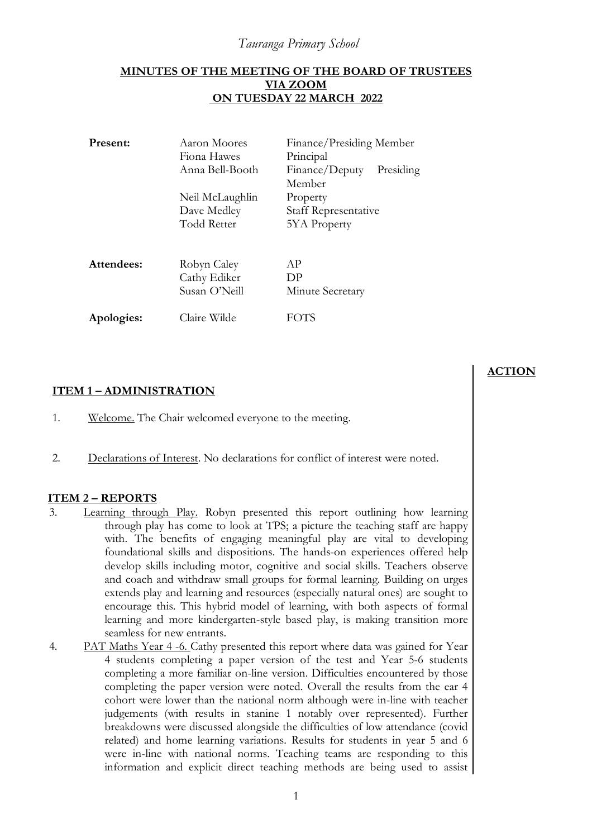## *Tauranga Primary School*

#### **MINUTES OF THE MEETING OF THE BOARD OF TRUSTEES VIA ZOOM ON TUESDAY 22 MARCH 2022**

| Present:   | Aaron Moores<br>Fiona Hawes<br>Anna Bell-Booth | Finance/Presiding Member<br>Principal<br>Finance/Deputy<br>Presiding<br>Member |
|------------|------------------------------------------------|--------------------------------------------------------------------------------|
|            | Neil McLaughlin                                | Property                                                                       |
|            | Dave Medley                                    | <b>Staff Representative</b>                                                    |
|            | Todd Retter                                    | <b>5YA</b> Property                                                            |
|            |                                                |                                                                                |
| Attendees: | Robyn Caley                                    | AP                                                                             |
|            | Cathy Ediker                                   | DP                                                                             |
|            | Susan O'Neill                                  | Minute Secretary                                                               |
| Apologies: | Claire Wilde                                   |                                                                                |

## **ITEM 1 – ADMINISTRATION**

- 1. Welcome. The Chair welcomed everyone to the meeting.
- 2. Declarations of Interest. No declarations for conflict of interest were noted.

### **ITEM 2 – REPORTS**

- 3. Learning through Play. Robyn presented this report outlining how learning through play has come to look at TPS; a picture the teaching staff are happy with. The benefits of engaging meaningful play are vital to developing foundational skills and dispositions. The hands-on experiences offered help develop skills including motor, cognitive and social skills. Teachers observe and coach and withdraw small groups for formal learning. Building on urges extends play and learning and resources (especially natural ones) are sought to encourage this. This hybrid model of learning, with both aspects of formal learning and more kindergarten-style based play, is making transition more seamless for new entrants.
- 4. PAT Maths Year 4 -6. Cathy presented this report where data was gained for Year 4 students completing a paper version of the test and Year 5-6 students completing a more familiar on-line version. Difficulties encountered by those completing the paper version were noted. Overall the results from the ear 4 cohort were lower than the national norm although were in-line with teacher judgements (with results in stanine 1 notably over represented). Further breakdowns were discussed alongside the difficulties of low attendance (covid related) and home learning variations. Results for students in year 5 and 6 were in-line with national norms. Teaching teams are responding to this information and explicit direct teaching methods are being used to assist

# **ACTION**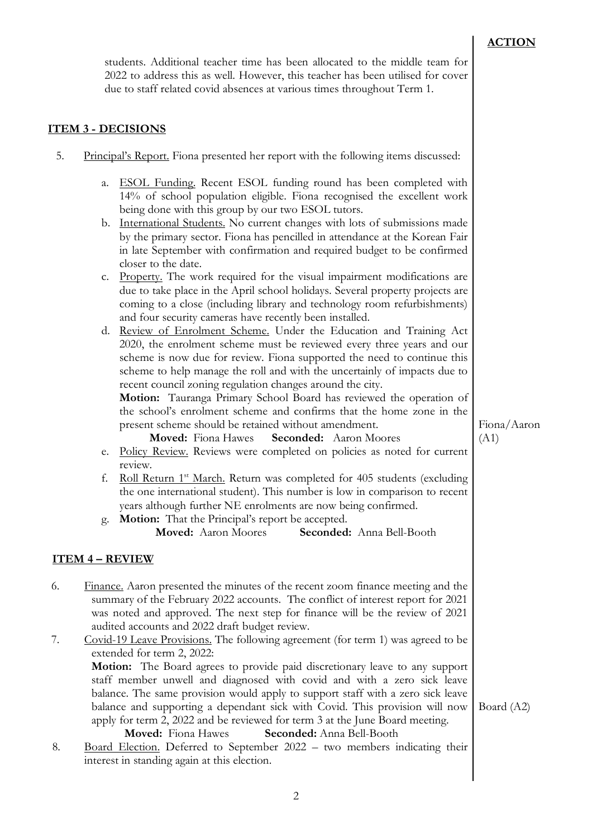## **ACTION**

students. Additional teacher time has been allocated to the middle team for 2022 to address this as well. However, this teacher has been utilised for cover due to staff related covid absences at various times throughout Term 1.

## **ITEM 3 - DECISIONS**

| 5. Principal's Report. Fiona presented her report with the following items discussed: |  |
|---------------------------------------------------------------------------------------|--|
|                                                                                       |  |

| a. ESOL Funding. Recent ESOL funding round has been completed with     |
|------------------------------------------------------------------------|
| 14% of school population eligible. Fiona recognised the excellent work |
| being done with this group by our two ESOL tutors.                     |

- b. International Students. No current changes with lots of submissions made by the primary sector. Fiona has pencilled in attendance at the Korean Fair in late September with confirmation and required budget to be confirmed closer to the date.
- c. Property. The work required for the visual impairment modifications are due to take place in the April school holidays. Several property projects are coming to a close (including library and technology room refurbishments) and four security cameras have recently been installed.

d. Review of Enrolment Scheme. Under the Education and Training Act 2020, the enrolment scheme must be reviewed every three years and our scheme is now due for review. Fiona supported the need to continue this scheme to help manage the roll and with the uncertainly of impacts due to recent council zoning regulation changes around the city.

**Motion:** Tauranga Primary School Board has reviewed the operation of the school's enrolment scheme and confirms that the home zone in the present scheme should be retained without amendment.

 **Moved:** Fiona Hawes **Seconded:** Aaron Moores

- e. Policy Review. Reviews were completed on policies as noted for current review.
- f. Roll Return 1st March. Return was completed for 405 students (excluding the one international student). This number is low in comparison to recent years although further NE enrolments are now being confirmed.
- g. **Motion:** That the Principal's report be accepted.

**Moved:** Aaron Moores **Seconded:** Anna Bell-Booth

## **ITEM 4 – REVIEW**

6. Finance. Aaron presented the minutes of the recent zoom finance meeting and the summary of the February 2022 accounts. The conflict of interest report for 2021 was noted and approved. The next step for finance will be the review of 2021 audited accounts and 2022 draft budget review.

7. Covid-19 Leave Provisions. The following agreement (for term 1) was agreed to be extended for term 2, 2022: **Motion:** The Board agrees to provide paid discretionary leave to any support staff member unwell and diagnosed with covid and with a zero sick leave balance. The same provision would apply to support staff with a zero sick leave balance and supporting a dependant sick with Covid. This provision will now apply for term 2, 2022 and be reviewed for term 3 at the June Board meeting. Board (A2)

#### **Moved:** Fiona Hawes **Seconded:** Anna Bell-Booth

8. Board Election. Deferred to September 2022 – two members indicating their interest in standing again at this election.

Fiona/Aaron (A1)